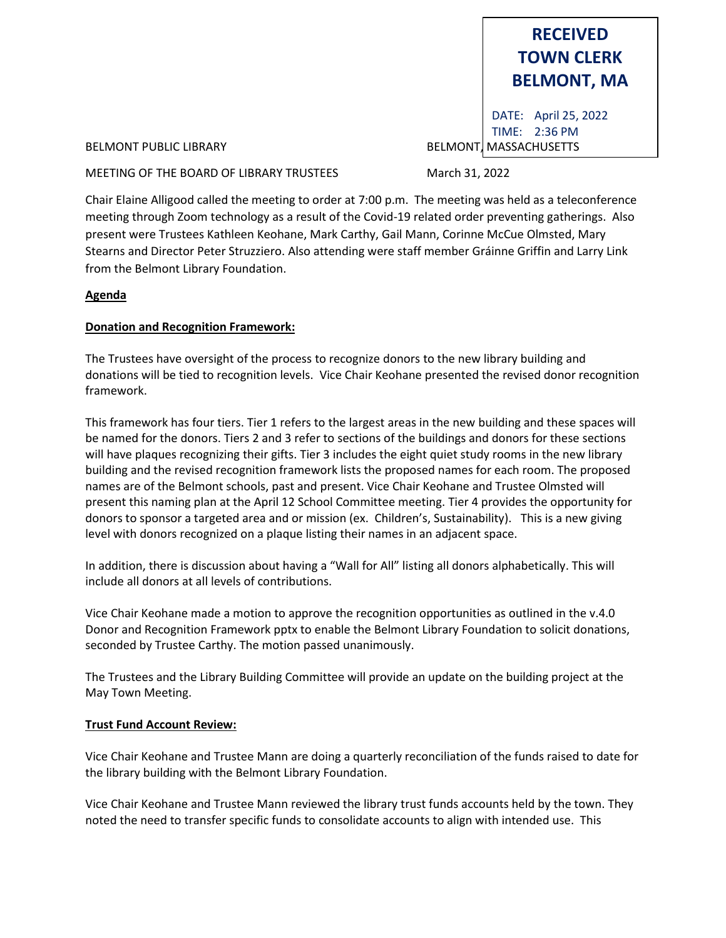**RECEIVED TOWN CLERK BELMONT, MA**

DATE: April 25, 2022 TIME: 2:36 PM

BELMONT PUBLIC LIBRARY **BELMONT, MASSACHUSETTS** 

MEETING OF THE BOARD OF LIBRARY TRUSTEES March 31, 2022

Chair Elaine Alligood called the meeting to order at 7:00 p.m. The meeting was held as a teleconference meeting through Zoom technology as a result of the Covid-19 related order preventing gatherings. Also present were Trustees Kathleen Keohane, Mark Carthy, Gail Mann, Corinne McCue Olmsted, Mary Stearns and Director Peter Struzziero. Also attending were staff member Gráinne Griffin and Larry Link from the Belmont Library Foundation.

## **Agenda**

## **Donation and Recognition Framework:**

The Trustees have oversight of the process to recognize donors to the new library building and donations will be tied to recognition levels. Vice Chair Keohane presented the revised donor recognition framework.

This framework has four tiers. Tier 1 refers to the largest areas in the new building and these spaces will be named for the donors. Tiers 2 and 3 refer to sections of the buildings and donors for these sections will have plaques recognizing their gifts. Tier 3 includes the eight quiet study rooms in the new library building and the revised recognition framework lists the proposed names for each room. The proposed names are of the Belmont schools, past and present. Vice Chair Keohane and Trustee Olmsted will present this naming plan at the April 12 School Committee meeting. Tier 4 provides the opportunity for donors to sponsor a targeted area and or mission (ex. Children's, Sustainability). This is a new giving level with donors recognized on a plaque listing their names in an adjacent space.

In addition, there is discussion about having a "Wall for All" listing all donors alphabetically. This will include all donors at all levels of contributions.

Vice Chair Keohane made a motion to approve the recognition opportunities as outlined in the v.4.0 Donor and Recognition Framework pptx to enable the Belmont Library Foundation to solicit donations, seconded by Trustee Carthy. The motion passed unanimously.

The Trustees and the Library Building Committee will provide an update on the building project at the May Town Meeting.

## **Trust Fund Account Review:**

Vice Chair Keohane and Trustee Mann are doing a quarterly reconciliation of the funds raised to date for the library building with the Belmont Library Foundation.

Vice Chair Keohane and Trustee Mann reviewed the library trust funds accounts held by the town. They noted the need to transfer specific funds to consolidate accounts to align with intended use. This